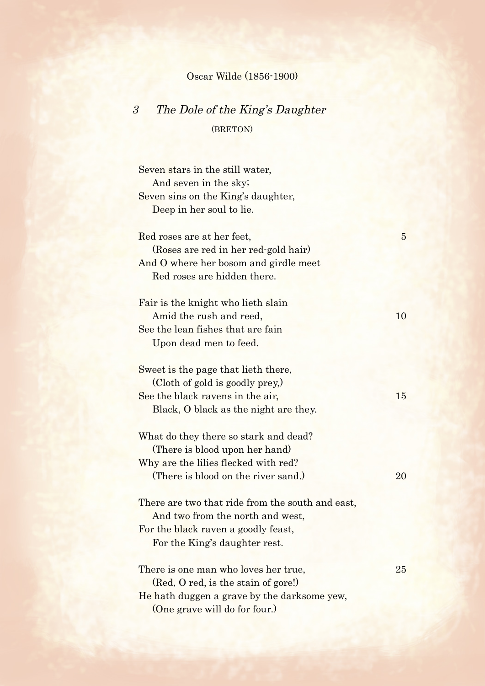## Oscar Wilde (1856-1900)

## 3 The Dole of the King's Daughter

(BRETON)

Seven stars in the still water, And seven in the sky; Seven sins on the King's daughter, Deep in her soul to lie. Red roses are at her feet. 5 (Roses are red in her red-gold hair) And O where her bosom and girdle meet Red roses are hidden there. Fair is the knight who lieth slain Amid the rush and reed, 10 See the lean fishes that are fain Upon dead men to feed. Sweet is the page that lieth there, (Cloth of gold is goodly prey,) See the black ravens in the air, 15 Black, O black as the night are they. What do they there so stark and dead? (There is blood upon her hand) Why are the lilies flecked with red? (There is blood on the river sand.) 20 There are two that ride from the south and east. And two from the north and west, For the black raven a goodly feast, For the King's daughter rest. There is one man who loves her true, 25 (Red, O red, is the stain of gore!) He hath duggen a grave by the darksome yew, (One grave will do for four.)